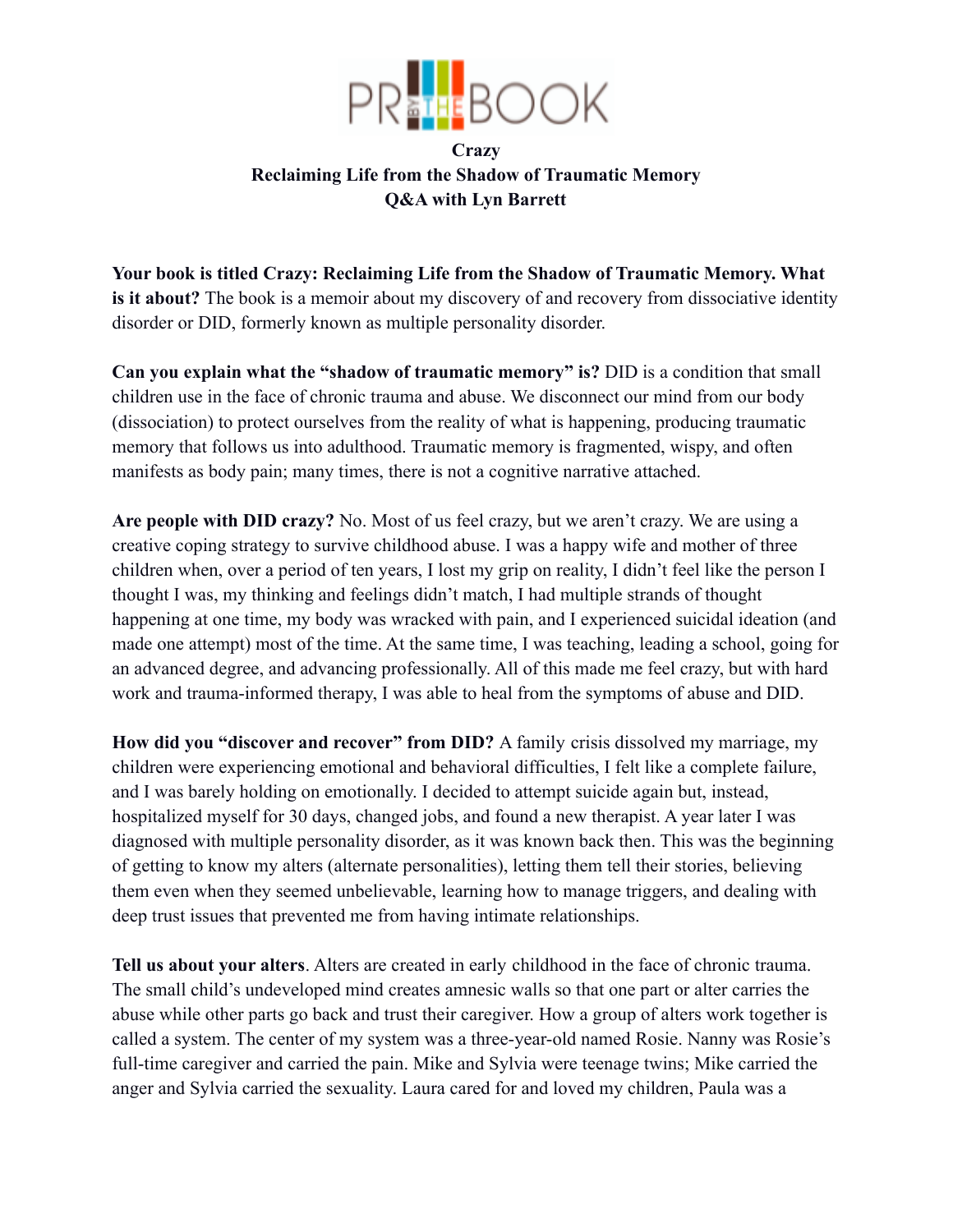

## **Crazy Reclaiming Life from the Shadow of Traumatic Memory Q&A with Lyn Barrett**

**Your book is titled Crazy: Reclaiming Life from the Shadow of Traumatic Memory. What is it about?** The book is a memoir about my discovery of and recovery from dissociative identity disorder or DID, formerly known as multiple personality disorder.

**Can you explain what the "shadow of traumatic memory" is?** DID is a condition that small children use in the face of chronic trauma and abuse. We disconnect our mind from our body (dissociation) to protect ourselves from the reality of what is happening, producing traumatic memory that follows us into adulthood. Traumatic memory is fragmented, wispy, and often manifests as body pain; many times, there is not a cognitive narrative attached.

**Are people with DID crazy?** No. Most of us feel crazy, but we aren't crazy. We are using a creative coping strategy to survive childhood abuse. I was a happy wife and mother of three children when, over a period of ten years, I lost my grip on reality, I didn't feel like the person I thought I was, my thinking and feelings didn't match, I had multiple strands of thought happening at one time, my body was wracked with pain, and I experienced suicidal ideation (and made one attempt) most of the time. At the same time, I was teaching, leading a school, going for an advanced degree, and advancing professionally. All of this made me feel crazy, but with hard work and trauma-informed therapy, I was able to heal from the symptoms of abuse and DID.

**How did you "discover and recover" from DID?** A family crisis dissolved my marriage, my children were experiencing emotional and behavioral difficulties, I felt like a complete failure, and I was barely holding on emotionally. I decided to attempt suicide again but, instead, hospitalized myself for 30 days, changed jobs, and found a new therapist. A year later I was diagnosed with multiple personality disorder, as it was known back then. This was the beginning of getting to know my alters (alternate personalities), letting them tell their stories, believing them even when they seemed unbelievable, learning how to manage triggers, and dealing with deep trust issues that prevented me from having intimate relationships.

**Tell us about your alters**. Alters are created in early childhood in the face of chronic trauma. The small child's undeveloped mind creates amnesic walls so that one part or alter carries the abuse while other parts go back and trust their caregiver. How a group of alters work together is called a system. The center of my system was a three-year-old named Rosie. Nanny was Rosie's full-time caregiver and carried the pain. Mike and Sylvia were teenage twins; Mike carried the anger and Sylvia carried the sexuality. Laura cared for and loved my children, Paula was a